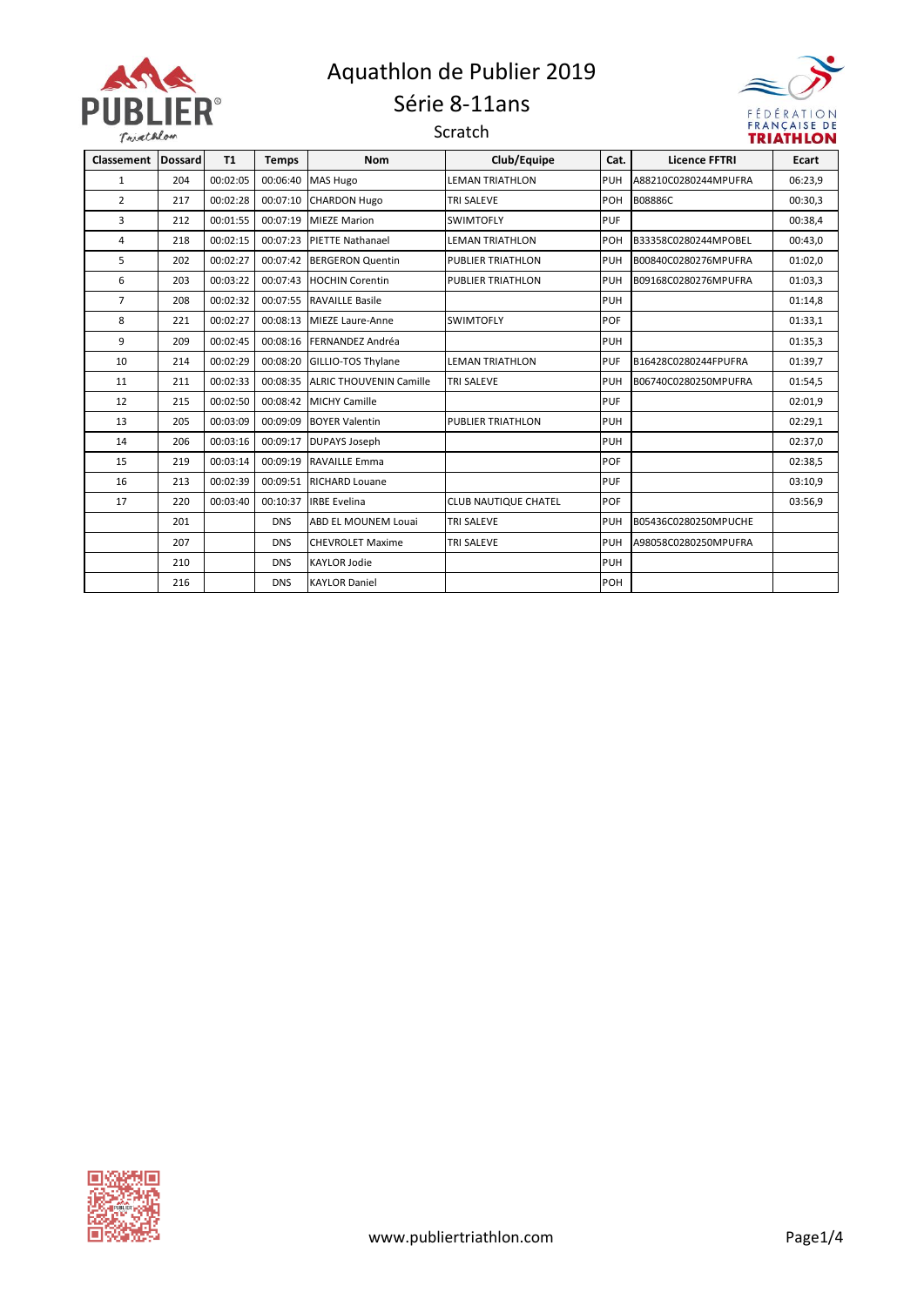

### Aquathlon de Publier 2019 Série 8-11ans





| <b>Classement</b> | <b>Dossard</b> | <b>T1</b> | <b>Temps</b> | <b>Nom</b>                     | Club/Equipe                 | Cat.       | <b>Licence FFTRI</b> | Ecart   |
|-------------------|----------------|-----------|--------------|--------------------------------|-----------------------------|------------|----------------------|---------|
| 1                 | 204            | 00:02:05  | 00:06:40     | <b>MAS Hugo</b>                | <b>LEMAN TRIATHLON</b>      | <b>PUH</b> | A88210C0280244MPUFRA | 06:23,9 |
| $\overline{2}$    | 217            | 00:02:28  | 00:07:10     | <b>CHARDON Hugo</b>            | <b>TRI SALEVE</b>           | POH        | B08886C              | 00:30,3 |
| 3                 | 212            | 00:01:55  | 00:07:19     | <b>MIEZE Marion</b>            | <b>SWIMTOFLY</b>            | PUF        |                      | 00:38,4 |
| 4                 | 218            | 00:02:15  | 00:07:23     | <b>PIETTE Nathanael</b>        | <b>LEMAN TRIATHLON</b>      | POH        | B33358C0280244MPOBEL | 00:43,0 |
| 5                 | 202            | 00:02:27  | 00:07:42     | <b>BERGERON Quentin</b>        | <b>PUBLIER TRIATHLON</b>    | <b>PUH</b> | B00840C0280276MPUFRA | 01:02,0 |
| 6                 | 203            | 00:03:22  | 00:07:43     | <b>HOCHIN Corentin</b>         | <b>PUBLIER TRIATHLON</b>    | <b>PUH</b> | B09168C0280276MPUFRA | 01:03,3 |
| $\overline{7}$    | 208            | 00:02:32  | 00:07:55     | <b>RAVAILLE Basile</b>         |                             | <b>PUH</b> |                      | 01:14,8 |
| 8                 | 221            | 00:02:27  | 00:08:13     | <b>MIEZE Laure-Anne</b>        | <b>SWIMTOFLY</b>            | <b>POF</b> |                      | 01:33,1 |
| 9                 | 209            | 00:02:45  | 00:08:16     | FERNANDEZ Andréa               |                             | <b>PUH</b> |                      | 01:35,3 |
| 10                | 214            | 00:02:29  | 00:08:20     | <b>GILLIO-TOS Thylane</b>      | <b>LEMAN TRIATHLON</b>      | <b>PUF</b> | B16428C0280244FPUFRA | 01:39,7 |
| 11                | 211            | 00:02:33  | 00:08:35     | <b>ALRIC THOUVENIN Camille</b> | <b>TRI SALEVE</b>           | PUH        | B06740C0280250MPUFRA | 01:54,5 |
| 12                | 215            | 00:02:50  | 00:08:42     | <b>MICHY Camille</b>           |                             | PUF        |                      | 02:01,9 |
| 13                | 205            | 00:03:09  | 00:09:09     | <b>BOYER Valentin</b>          | <b>PUBLIER TRIATHLON</b>    | <b>PUH</b> |                      | 02:29,1 |
| 14                | 206            | 00:03:16  | 00:09:17     | <b>DUPAYS Joseph</b>           |                             | <b>PUH</b> |                      | 02:37,0 |
| 15                | 219            | 00:03:14  | 00:09:19     | <b>RAVAILLE Emma</b>           |                             | POF        |                      | 02:38,5 |
| 16                | 213            | 00:02:39  | 00:09:51     | <b>RICHARD Louane</b>          |                             | <b>PUF</b> |                      | 03:10,9 |
| 17                | 220            | 00:03:40  | 00:10:37     | <b>IRBE Evelina</b>            | <b>CLUB NAUTIQUE CHATEL</b> | POF        |                      | 03:56,9 |
|                   | 201            |           | <b>DNS</b>   | <b>ABD EL MOUNEM Louai</b>     | <b>TRI SALEVE</b>           | <b>PUH</b> | B05436C0280250MPUCHE |         |
|                   | 207            |           | <b>DNS</b>   | <b>CHEVROLET Maxime</b>        | <b>TRI SALEVE</b>           | <b>PUH</b> | A98058C0280250MPUFRA |         |
|                   | 210            |           | <b>DNS</b>   | <b>KAYLOR Jodie</b>            |                             | <b>PUH</b> |                      |         |
|                   | 216            |           | <b>DNS</b>   | <b>KAYLOR Daniel</b>           |                             | POH        |                      |         |

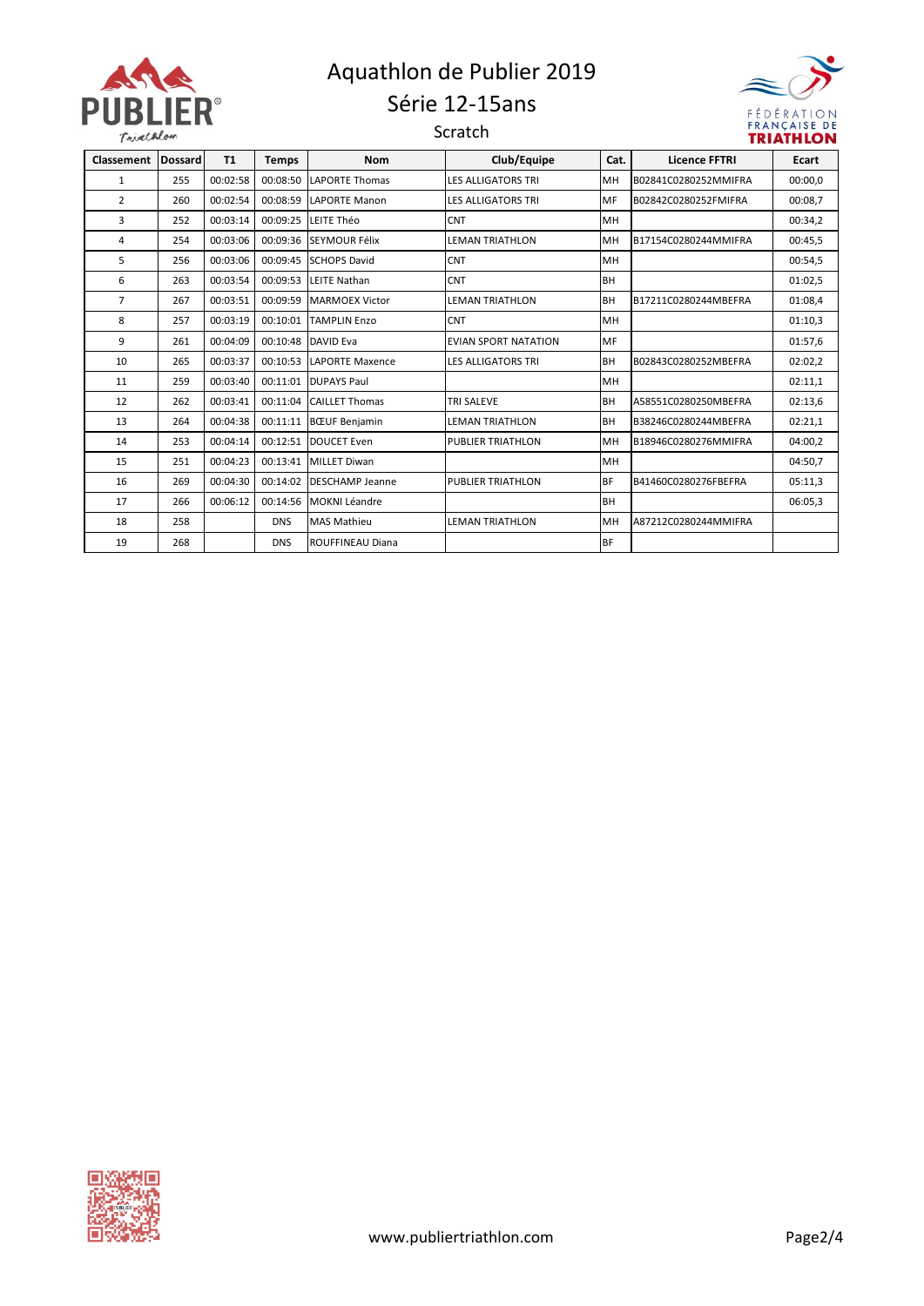

#### Aquathlon de Publier 2019 Série 12-15ans

Scratch



| <b>Classement</b> | <b>Dossard</b> | <b>T1</b> | <b>Temps</b> | <b>Nom</b>              | Club/Equipe               | Cat.      | <b>Licence FFTRI</b> | <b>Ecart</b> |
|-------------------|----------------|-----------|--------------|-------------------------|---------------------------|-----------|----------------------|--------------|
|                   |                |           |              |                         |                           |           |                      |              |
| 1                 | 255            | 00:02:58  | 00:08:50     | <b>LAPORTE Thomas</b>   | <b>LES ALLIGATORS TRI</b> | MH        | B02841C0280252MMIFRA | 00:00,0      |
| $\overline{2}$    | 260            | 00:02:54  | 00:08:59     | <b>LAPORTE Manon</b>    | <b>LES ALLIGATORS TRI</b> | MF        | B02842C0280252FMIFRA | 00:08,7      |
| 3                 | 252            | 00:03:14  | 00:09:25     | LEITE Théo              | <b>CNT</b>                | MH        |                      | 00:34.2      |
| 4                 | 254            | 00:03:06  | 00:09:36     | SEYMOUR Félix           | <b>LEMAN TRIATHLON</b>    | MH        | B17154C0280244MMIFRA | 00:45,5      |
| 5.                | 256            | 00:03:06  | 00:09:45     | <b>SCHOPS David</b>     | <b>CNT</b>                | MH        |                      | 00:54.5      |
| 6                 | 263            | 00:03:54  | 00:09:53     | <b>LEITE Nathan</b>     | <b>CNT</b>                | <b>BH</b> |                      | 01:02,5      |
| $\overline{7}$    | 267            | 00:03:51  | 00:09:59     | <b>MARMOEX Victor</b>   | <b>LEMAN TRIATHLON</b>    | <b>BH</b> | B17211C0280244MBEFRA | 01:08.4      |
| 8                 | 257            | 00:03:19  | 00:10:01     | <b>TAMPLIN Enzo</b>     | <b>CNT</b>                | MH        |                      | 01:10,3      |
| 9                 | 261            | 00:04:09  | 00:10:48     | DAVID Eva               | EVIAN SPORT NATATION      | MF        |                      | 01:57,6      |
| 10                | 265            | 00:03:37  | 00:10:53     | LAPORTE Maxence         | <b>LES ALLIGATORS TRI</b> | <b>BH</b> | B02843C0280252MBEFRA | 02:02,2      |
| 11                | 259            | 00:03:40  | 00:11:01     | <b>DUPAYS Paul</b>      |                           | MH        |                      | 02:11,1      |
| 12                | 262            | 00:03:41  | 00:11:04     | <b>CAILLET Thomas</b>   | <b>TRI SALEVE</b>         | <b>BH</b> | A58551C0280250MBEFRA | 02:13,6      |
| 13                | 264            | 00:04:38  | 00:11:11     | <b>BCUF</b> Benjamin    | <b>LEMAN TRIATHLON</b>    | <b>BH</b> | B38246C0280244MBEFRA | 02:21,1      |
| 14                | 253            | 00:04:14  | 00:12:51     | <b>DOUCET Even</b>      | <b>PUBLIER TRIATHLON</b>  | MH        | B18946C0280276MMIFRA | 04:00,2      |
| 15                | 251            | 00:04:23  | 00:13:41     | <b>MILLET Diwan</b>     |                           | MH        |                      | 04:50,7      |
| 16                | 269            | 00:04:30  | 00:14:02     | <b>DESCHAMP Jeanne</b>  | <b>PUBLIER TRIATHLON</b>  | <b>BF</b> | B41460C0280276FBEFRA | 05:11,3      |
| 17                | 266            | 00:06:12  | 00:14:56     | <b>MOKNI Léandre</b>    |                           | <b>BH</b> |                      | 06:05,3      |
| 18                | 258            |           | <b>DNS</b>   | <b>MAS Mathieu</b>      | <b>LEMAN TRIATHLON</b>    | MH        | A87212C0280244MMIFRA |              |
| 19                | 268            |           | <b>DNS</b>   | <b>ROUFFINEAU Diana</b> |                           | <b>BF</b> |                      |              |

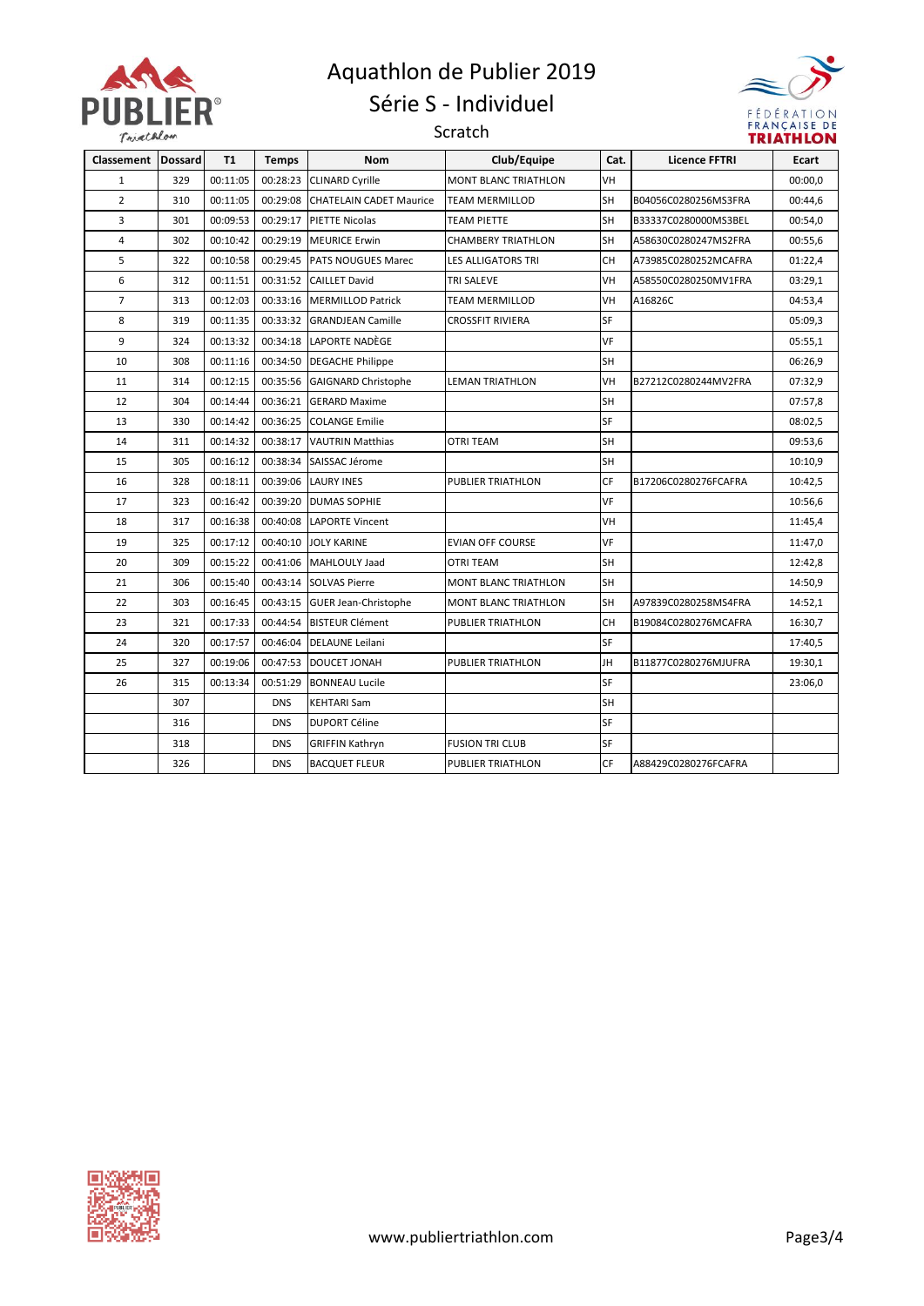

### Aquathlon de Publier 2019 Série S - Individuel

Scratch



| Classement   Dossard |     | <b>T1</b> | <b>Temps</b> | <b>Nom</b>                     | Club/Equipe                 | Cat.      | <b>Licence FFTRI</b> | Ecart   |
|----------------------|-----|-----------|--------------|--------------------------------|-----------------------------|-----------|----------------------|---------|
| $\mathbf{1}$         | 329 | 00:11:05  | 00:28:23     | <b>CLINARD Cyrille</b>         | <b>MONT BLANC TRIATHLON</b> | VH        |                      | 00:00,0 |
| $\overline{2}$       | 310 | 00:11:05  | 00:29:08     | <b>CHATELAIN CADET Maurice</b> | <b>TEAM MERMILLOD</b>       | SH        | B04056C0280256MS3FRA | 00:44,6 |
| 3                    | 301 | 00:09:53  | 00:29:17     | <b>PIETTE Nicolas</b>          | TEAM PIETTE                 | <b>SH</b> | B33337C0280000MS3BEL | 00:54,0 |
| 4                    | 302 | 00:10:42  | 00:29:19     | <b>MEURICE Erwin</b>           | <b>CHAMBERY TRIATHLON</b>   | <b>SH</b> | A58630C0280247MS2FRA | 00:55,6 |
| 5                    | 322 | 00:10:58  | 00:29:45     | PATS NOUGUES Marec             | <b>LES ALLIGATORS TRI</b>   | CH        | A73985C0280252MCAFRA | 01:22,4 |
| 6                    | 312 | 00:11:51  | 00:31:52     | <b>CAILLET David</b>           | TRI SALEVE                  | VH        | A58550C0280250MV1FRA | 03:29,1 |
| $\overline{7}$       | 313 | 00:12:03  | 00:33:16     | <b>MERMILLOD Patrick</b>       | TEAM MERMILLOD              | VH        | A16826C              | 04:53,4 |
| 8                    | 319 | 00:11:35  | 00:33:32     | <b>GRANDJEAN Camille</b>       | <b>CROSSFIT RIVIERA</b>     | <b>SF</b> |                      | 05:09,3 |
| 9                    | 324 | 00:13:32  | 00:34:18     | LAPORTE NADÈGE                 |                             | VF        |                      | 05:55,1 |
| 10                   | 308 | 00:11:16  | 00:34:50     | <b>DEGACHE Philippe</b>        |                             | <b>SH</b> |                      | 06:26,9 |
| 11                   | 314 | 00:12:15  | 00:35:56     | <b>GAIGNARD Christophe</b>     | LEMAN TRIATHLON             | VH        | B27212C0280244MV2FRA | 07:32,9 |
| 12                   | 304 | 00:14:44  | 00:36:21     | <b>GERARD Maxime</b>           |                             | SH        |                      | 07:57,8 |
| 13                   | 330 | 00:14:42  | 00:36:25     | <b>COLANGE Emilie</b>          |                             | <b>SF</b> |                      | 08:02,5 |
| 14                   | 311 | 00:14:32  | 00:38:17     | <b>VAUTRIN Matthias</b>        | OTRI TEAM                   | SH        |                      | 09:53,6 |
| 15                   | 305 | 00:16:12  | 00:38:34     | SAISSAC Jérome                 |                             | <b>SH</b> |                      | 10:10,9 |
| 16                   | 328 | 00:18:11  | 00:39:06     | <b>LAURY INES</b>              | <b>PUBLIER TRIATHLON</b>    | CF        | B17206C0280276FCAFRA | 10:42,5 |
| 17                   | 323 | 00:16:42  | 00:39:20     | <b>DUMAS SOPHIE</b>            |                             | VF        |                      | 10:56,6 |
| 18                   | 317 | 00:16:38  | 00:40:08     | <b>LAPORTE Vincent</b>         |                             | <b>VH</b> |                      | 11:45,4 |
| 19                   | 325 | 00:17:12  | 00:40:10     | <b>JOLY KARINE</b>             | <b>EVIAN OFF COURSE</b>     | VF        |                      | 11:47,0 |
| 20                   | 309 | 00:15:22  | 00:41:06     | MAHLOULY Jaad                  | <b>OTRI TEAM</b>            | <b>SH</b> |                      | 12:42,8 |
| 21                   | 306 | 00:15:40  | 00:43:14     | <b>SOLVAS Pierre</b>           | <b>MONT BLANC TRIATHLON</b> | <b>SH</b> |                      | 14:50,9 |
| 22                   | 303 | 00:16:45  | 00:43:15     | <b>GUER Jean-Christophe</b>    | <b>MONT BLANC TRIATHLON</b> | <b>SH</b> | A97839C0280258MS4FRA | 14:52,1 |
| 23                   | 321 | 00:17:33  | 00:44:54     | <b>BISTEUR Clément</b>         | PUBLIER TRIATHLON           | CH        | B19084C0280276MCAFRA | 16:30,7 |
| 24                   | 320 | 00:17:57  | 00:46:04     | <b>DELAUNE Leilani</b>         |                             | SF        |                      | 17:40,5 |
| 25                   | 327 | 00:19:06  | 00:47:53     | DOUCET JONAH                   | <b>PUBLIER TRIATHLON</b>    | JH        | B11877C0280276MJUFRA | 19:30,1 |
| 26                   | 315 | 00:13:34  | 00:51:29     | <b>BONNEAU Lucile</b>          |                             | <b>SF</b> |                      | 23:06,0 |
|                      | 307 |           | <b>DNS</b>   | <b>KEHTARI Sam</b>             |                             | SH        |                      |         |
|                      | 316 |           | <b>DNS</b>   | <b>DUPORT Céline</b>           |                             | SF        |                      |         |
|                      | 318 |           | <b>DNS</b>   | <b>GRIFFIN Kathryn</b>         | <b>FUSION TRI CLUB</b>      | SF        |                      |         |
|                      | 326 |           | <b>DNS</b>   | <b>BACQUET FLEUR</b>           | <b>PUBLIER TRIATHLON</b>    | <b>CF</b> | A88429C0280276FCAFRA |         |